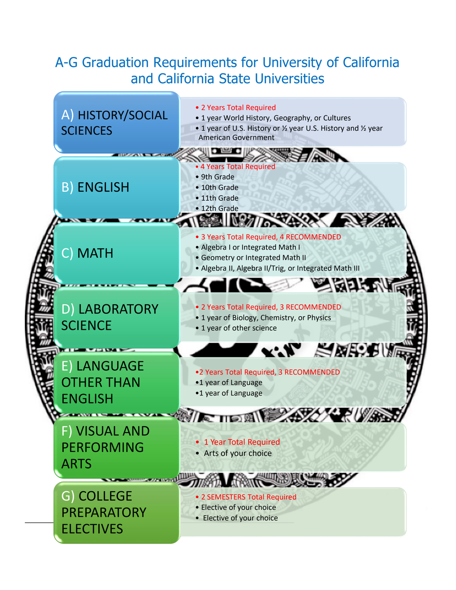# A-G Graduation Requirements for University of California and California State Universities

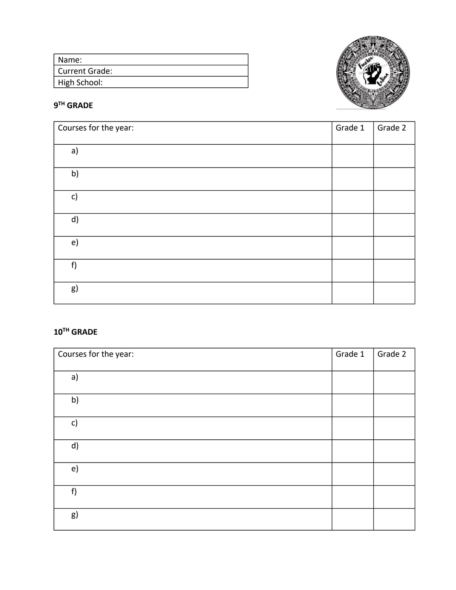| I Name:        |  |
|----------------|--|
| Current Grade: |  |
| High School:   |  |



#### **9 TH GRADE**

| Courses for the year: | Grade 1 | Grade 2 |
|-----------------------|---------|---------|
| a)                    |         |         |
| b)                    |         |         |
| c)                    |         |         |
| d)                    |         |         |
| e)                    |         |         |
| f)                    |         |         |
| g)                    |         |         |

### **10TH GRADE**

| Courses for the year: | Grade 1 | Grade 2 |
|-----------------------|---------|---------|
| a)                    |         |         |
| b)                    |         |         |
| c)                    |         |         |
| d)                    |         |         |
| e)                    |         |         |
| f)                    |         |         |
| g)                    |         |         |